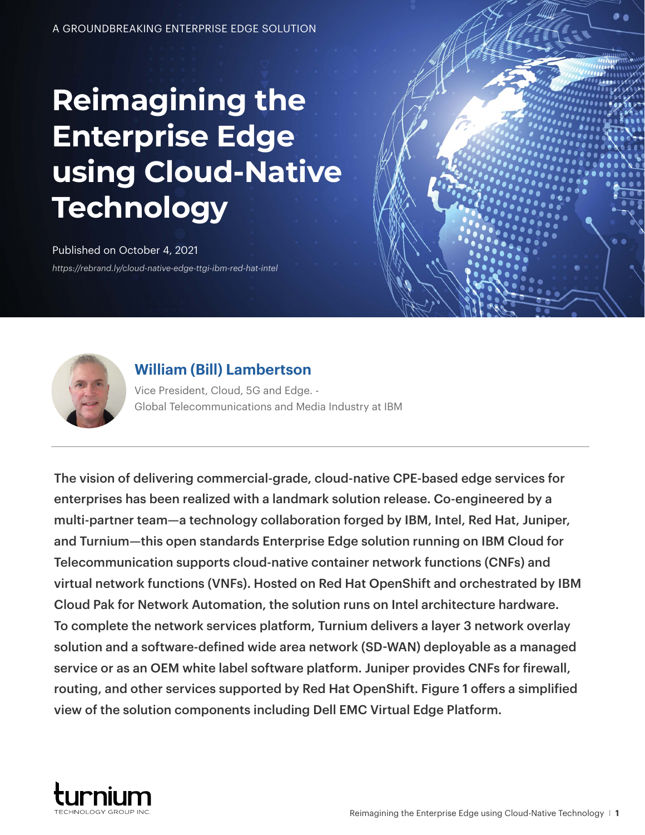# **Reimagining the Enterprise Edge using Cloud-Native Technology**

## Published on October 4, 2021

*<https://rebrand.ly/cloud-native-edge-ttgi-ibm-red-hat-intel>*



### **[William \(Bill\) Lambertson](https://www.linkedin.com/in/william-bill-lambertson-1664725/)**

Vice President, Cloud, 5G and Edge. - Global Telecommunications and Media Industry at IBM

The vision of delivering commercial-grade, cloud-native CPE-based edge services for enterprises has been realized with a landmark solution release. Co-engineered by a multi-partner team—a technology collaboration forged by IBM, Intel, Red Hat, Juniper, and Turnium—this open standards Enterprise Edge solution running on IBM Cloud for Telecommunication supports cloud-native container network functions (CNFs) and virtual network functions (VNFs). Hosted on Red Hat OpenShift and orchestrated by IBM Cloud Pak for Network Automation, the solution runs on Intel architecture hardware. To complete the network services platform, Turnium delivers a layer 3 network overlay solution and a software-defined wide area network (SD-WAN) deployable as a managed service or as an OEM white label software platform. Juniper provides CNFs for firewall, routing, and other services supported by Red Hat OpenShift. Figure 1 offers a simplified view of the solution components including Dell EMC Virtual Edge Platform.

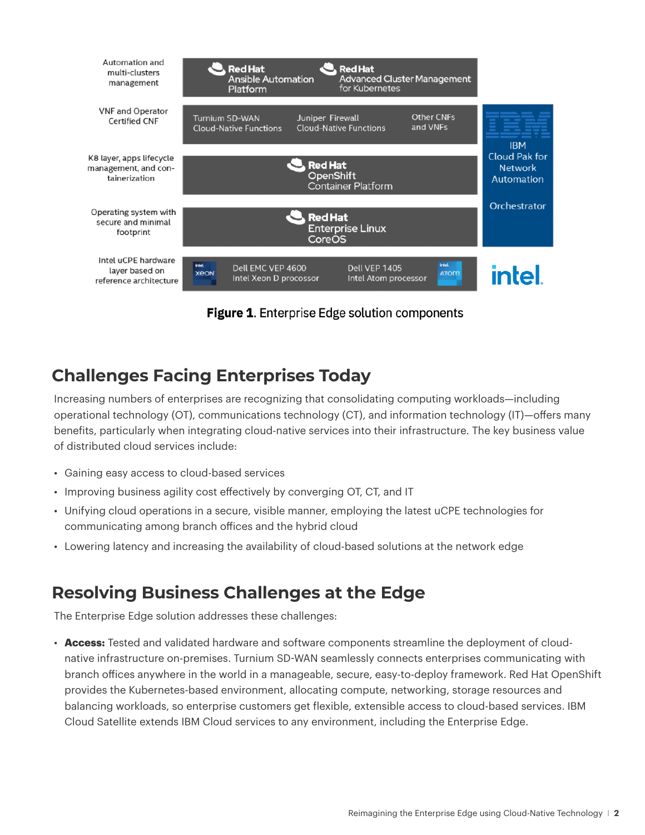

Figure 1. Enterprise Edge solution components

#### **Challenges Facing Enterprises Today Challenges Facing Enterprises Today**

Increasing numbers of enterprises are recognizing that consolidating computing workloads—including Increasing numbers of enterprises are recognizing that consolidating computing operational technology (OT), communications technology (CT), and information technology (IT)—offers many benefits, particularly when integrating cloud-native services into their infrastructure. The key business value of distributed cloud services include: The key business value of distributed cloud-services include:

- Gaining easy access to cloud-based services
- $\bullet$  Improving business agility cost effectively by converging OT, CT, and IT
- Unifying cloud operations in a secure, visible manner, employing the latest uCPE technologies for communicating among branch offices and the hybrid cloud
- Lowering latency and increasing the availability of cloud-based solutions at the network edge

## **Resolving Business Challenges at the Edge**

The Enterprise Edge solution addresses these challenges:

• **Access:** Tested and validated hardware and software components streamline the deployment of cloudnative infrastructure on-premises. Turnium SD-WAN seamlessly connects enterprises communicating with branch offices anywhere in the world in a manageable, secure, easy-to-deploy framework. Red Hat OpenShift provides the Kubernetes-based environment, allocating compute, networking, storage resources and balancing workloads, so enterprise customers get flexible, extensible access to cloud-based services. IBM Cloud Satellite extends IBM Cloud services to any environment, including the Enterprise Edge.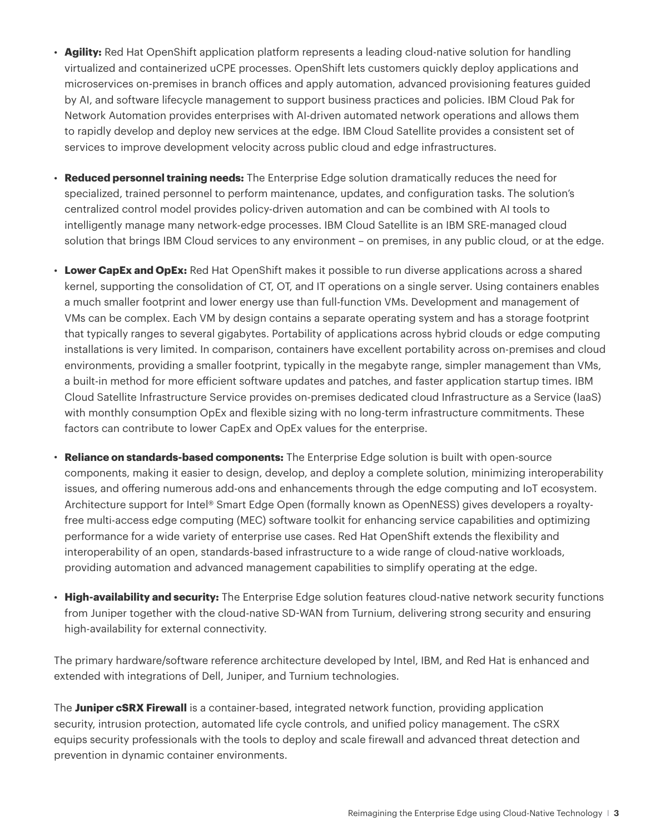- **Agility:** Red Hat OpenShift application platform represents a leading cloud-native solution for handling virtualized and containerized uCPE processes. OpenShift lets customers quickly deploy applications and microservices on-premises in branch offices and apply automation, advanced provisioning features guided by AI, and software lifecycle management to support business practices and policies. IBM Cloud Pak for Network Automation provides enterprises with AI-driven automated network operations and allows them to rapidly develop and deploy new services at the edge. IBM Cloud Satellite provides a consistent set of services to improve development velocity across public cloud and edge infrastructures.
- **Reduced personnel training needs:** The Enterprise Edge solution dramatically reduces the need for specialized, trained personnel to perform maintenance, updates, and configuration tasks. The solution's centralized control model provides policy-driven automation and can be combined with AI tools to intelligently manage many network-edge processes. IBM Cloud Satellite is an IBM SRE-managed cloud solution that brings IBM Cloud services to any environment – on premises, in any public cloud, or at the edge.
- Lower CapEx and OpEx: Red Hat OpenShift makes it possible to run diverse applications across a shared kernel, supporting the consolidation of CT, OT, and IT operations on a single server. Using containers enables a much smaller footprint and lower energy use than full-function VMs. Development and management of VMs can be complex. Each VM by design contains a separate operating system and has a storage footprint that typically ranges to several gigabytes. Portability of applications across hybrid clouds or edge computing installations is very limited. In comparison, containers have excellent portability across on-premises and cloud environments, providing a smaller footprint, typically in the megabyte range, simpler management than VMs, a built-in method for more efficient software updates and patches, and faster application startup times. IBM Cloud Satellite Infrastructure Service provides on-premises dedicated cloud Infrastructure as a Service (IaaS) with monthly consumption OpEx and flexible sizing with no long-term infrastructure commitments. These factors can contribute to lower CapEx and OpEx values for the enterprise.
- **Reliance on standards-based components:** The Enterprise Edge solution is built with open-source components, making it easier to design, develop, and deploy a complete solution, minimizing interoperability issues, and offering numerous add-ons and enhancements through the edge computing and IoT ecosystem. Architecture support for Intel® Smart Edge Open (formally known as OpenNESS) gives developers a royaltyfree multi-access edge computing (MEC) software toolkit for enhancing service capabilities and optimizing performance for a wide variety of enterprise use cases. Red Hat OpenShift extends the flexibility and interoperability of an open, standards-based infrastructure to a wide range of cloud-native workloads, providing automation and advanced management capabilities to simplify operating at the edge.
- **High-availability and security:** The Enterprise Edge solution features cloud-native network security functions from Juniper together with the cloud-native SD-WAN from Turnium, delivering strong security and ensuring high-availability for external connectivity.

The primary hardware/software reference architecture developed by Intel, IBM, and Red Hat is enhanced and extended with integrations of Dell, Juniper, and Turnium technologies.

The **Juniper cSRX Firewall** is a container-based, integrated network function, providing application security, intrusion protection, automated life cycle controls, and unified policy management. The cSRX equips security professionals with the tools to deploy and scale firewall and advanced threat detection and prevention in dynamic container environments.